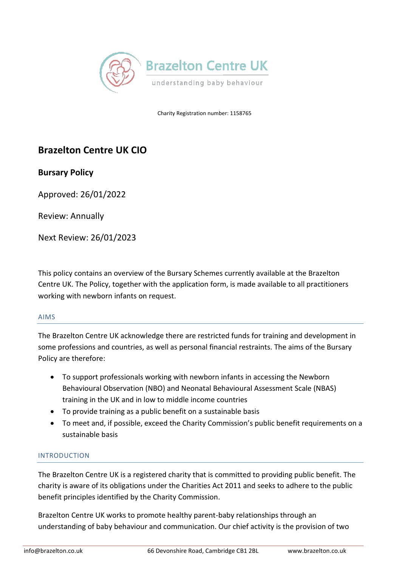

Charity Registration number: 1158765

# **Brazelton Centre UK CIO**

# **Bursary Policy**

Approved: 26/01/2022

Review: Annually

Next Review: 26/01/2023

This policy contains an overview of the Bursary Schemes currently available at the Brazelton Centre UK. The Policy, together with the application form, is made available to all practitioners working with newborn infants on request.

# AIMS

The Brazelton Centre UK acknowledge there are restricted funds for training and development in some professions and countries, as well as personal financial restraints. The aims of the Bursary Policy are therefore:

- To support professionals working with newborn infants in accessing the Newborn Behavioural Observation (NBO) and Neonatal Behavioural Assessment Scale (NBAS) training in the UK and in low to middle income countries
- To provide training as a public benefit on a sustainable basis
- To meet and, if possible, exceed the Charity Commission's public benefit requirements on a sustainable basis

# INTRODUCTION

The Brazelton Centre UK is a registered charity that is committed to providing public benefit. The charity is aware of its obligations under the Charities Act 2011 and seeks to adhere to the public benefit principles identified by the Charity Commission.

Brazelton Centre UK works to promote healthy parent-baby relationships through an understanding of baby behaviour and communication. Our chief activity is the provision of two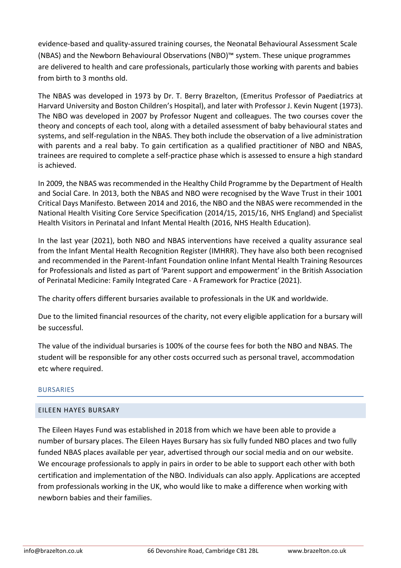evidence-based and quality-assured training courses, the Neonatal Behavioural Assessment Scale (NBAS) and the Newborn Behavioural Observations (NBO)™ system. These unique programmes are delivered to health and care professionals, particularly those working with parents and babies from birth to 3 months old.

The NBAS was developed in 1973 by Dr. T. Berry Brazelton, (Emeritus Professor of Paediatrics at Harvard University and Boston Children's Hospital), and later with Professor J. Kevin Nugent (1973). The NBO was developed in 2007 by Professor Nugent and colleagues. The two courses cover the theory and concepts of each tool, along with a detailed assessment of baby behavioural states and systems, and self-regulation in the NBAS. They both include the observation of a live administration with parents and a real baby. To gain certification as a qualified practitioner of NBO and NBAS, trainees are required to complete a self-practice phase which is assessed to ensure a high standard is achieved.

In 2009, the NBAS was recommended in the Healthy Child Programme by the Department of Health and Social Care. In 2013, both the NBAS and NBO were recognised by the Wave Trust in their 1001 Critical Days Manifesto. Between 2014 and 2016, the NBO and the NBAS were recommended in the National Health Visiting Core Service Specification (2014/15, 2015/16, NHS England) and Specialist Health Visitors in Perinatal and Infant Mental Health (2016, NHS Health Education).

In the last year (2021), both NBO and NBAS interventions have received a quality assurance seal from the Infant Mental Health Recognition Register (IMHRR). They have also both been recognised and recommended in the Parent-Infant Foundation online Infant Mental Health Training Resources for Professionals and listed as part of 'Parent support and empowerment' in the British Association of Perinatal Medicine: Family Integrated Care - A Framework for Practice (2021).

The charity offers different bursaries available to professionals in the UK and worldwide.

Due to the limited financial resources of the charity, not every eligible application for a bursary will be successful.

The value of the individual bursaries is 100% of the course fees for both the NBO and NBAS. The student will be responsible for any other costs occurred such as personal travel, accommodation etc where required.

# BURSARIES

# EILEEN HAYES BURSARY

The Eileen Hayes Fund was established in 2018 from which we have been able to provide a number of bursary places. The Eileen Hayes Bursary has six fully funded NBO places and two fully funded NBAS places available per year, advertised through our social media and on our website. We encourage professionals to apply in pairs in order to be able to support each other with both certification and implementation of the NBO. Individuals can also apply. Applications are accepted from professionals working in the UK, who would like to make a difference when working with newborn babies and their families.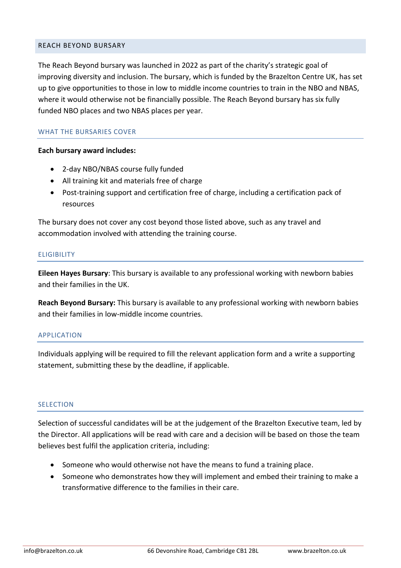#### REACH BEYOND BURSARY

The Reach Beyond bursary was launched in 2022 as part of the charity's strategic goal of improving diversity and inclusion. The bursary, which is funded by the Brazelton Centre UK, has set up to give opportunities to those in low to middle income countries to train in the NBO and NBAS, where it would otherwise not be financially possible. The Reach Beyond bursary has six fully funded NBO places and two NBAS places per year.

#### WHAT THE BURSARIES COVER

#### **Each bursary award includes:**

- 2-day NBO/NBAS course fully funded
- All training kit and materials free of charge
- Post-training support and certification free of charge, including a certification pack of resources

The bursary does not cover any cost beyond those listed above, such as any travel and accommodation involved with attending the training course.

#### **ELIGIBILITY**

**Eileen Hayes Bursary**: This bursary is available to any professional working with newborn babies and their families in the UK.

**Reach Beyond Bursary:** This bursary is available to any professional working with newborn babies and their families in low-middle income countries.

### APPLICATION

Individuals applying will be required to fill the relevant application form and a write a supporting statement, submitting these by the deadline, if applicable.

#### **SELECTION**

Selection of successful candidates will be at the judgement of the Brazelton Executive team, led by the Director. All applications will be read with care and a decision will be based on those the team believes best fulfil the application criteria, including:

- Someone who would otherwise not have the means to fund a training place.
- Someone who demonstrates how they will implement and embed their training to make a transformative difference to the families in their care.